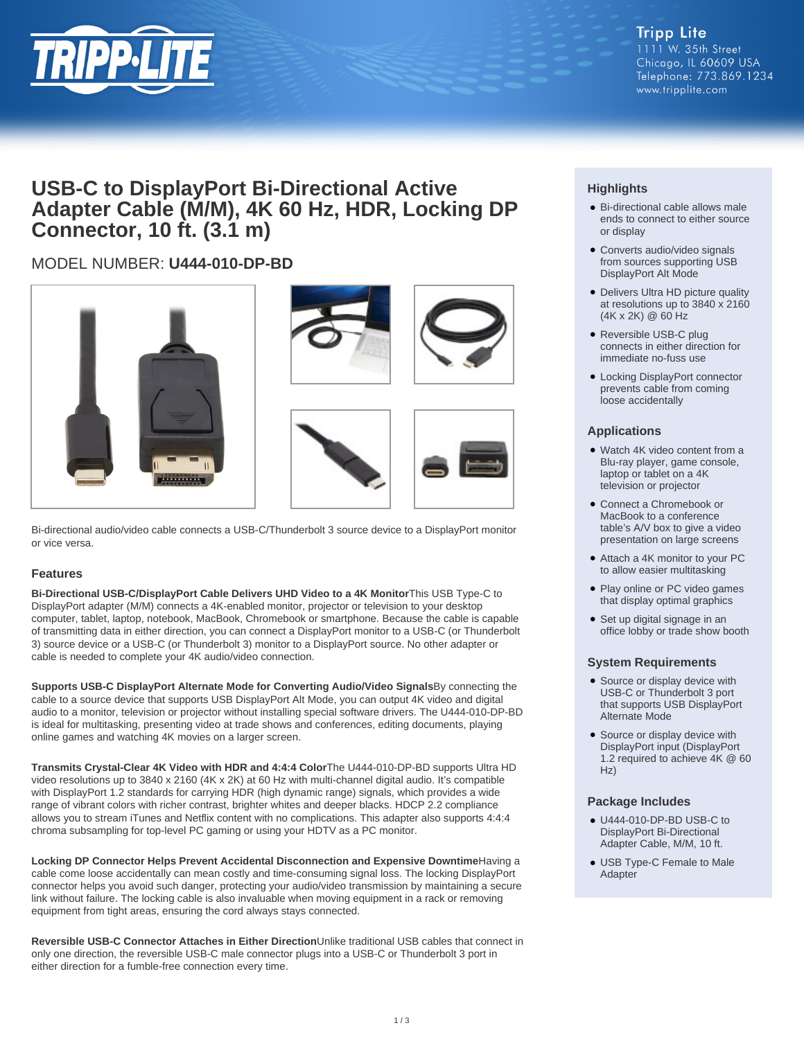

# **USB-C to DisplayPort Bi-Directional Active Adapter Cable (M/M), 4K 60 Hz, HDR, Locking DP Connector, 10 ft. (3.1 m)**

# MODEL NUMBER: **U444-010-DP-BD**



Bi-directional audio/video cable connects a USB-C/Thunderbolt 3 source device to a DisplayPort monitor or vice versa.

### **Features**

**Bi-Directional USB-C/DisplayPort Cable Delivers UHD Video to a 4K Monitor**This USB Type-C to DisplayPort adapter (M/M) connects a 4K-enabled monitor, projector or television to your desktop computer, tablet, laptop, notebook, MacBook, Chromebook or smartphone. Because the cable is capable of transmitting data in either direction, you can connect a DisplayPort monitor to a USB-C (or Thunderbolt 3) source device or a USB-C (or Thunderbolt 3) monitor to a DisplayPort source. No other adapter or cable is needed to complete your 4K audio/video connection.

**Supports USB-C DisplayPort Alternate Mode for Converting Audio/Video Signals**By connecting the cable to a source device that supports USB DisplayPort Alt Mode, you can output 4K video and digital audio to a monitor, television or projector without installing special software drivers. The U444-010-DP-BD is ideal for multitasking, presenting video at trade shows and conferences, editing documents, playing online games and watching 4K movies on a larger screen.

**Transmits Crystal-Clear 4K Video with HDR and 4:4:4 Color**The U444-010-DP-BD supports Ultra HD video resolutions up to 3840 x 2160 (4K x 2K) at 60 Hz with multi-channel digital audio. It's compatible with DisplayPort 1.2 standards for carrying HDR (high dynamic range) signals, which provides a wide range of vibrant colors with richer contrast, brighter whites and deeper blacks. HDCP 2.2 compliance allows you to stream iTunes and Netflix content with no complications. This adapter also supports 4:4:4 chroma subsampling for top-level PC gaming or using your HDTV as a PC monitor.

**Locking DP Connector Helps Prevent Accidental Disconnection and Expensive Downtime**Having a cable come loose accidentally can mean costly and time-consuming signal loss. The locking DisplayPort connector helps you avoid such danger, protecting your audio/video transmission by maintaining a secure link without failure. The locking cable is also invaluable when moving equipment in a rack or removing equipment from tight areas, ensuring the cord always stays connected.

**Reversible USB-C Connector Attaches in Either Direction**Unlike traditional USB cables that connect in only one direction, the reversible USB-C male connector plugs into a USB-C or Thunderbolt 3 port in either direction for a fumble-free connection every time.

## **Highlights**

- Bi-directional cable allows male ends to connect to either source or display
- Converts audio/video signals from sources supporting USB DisplayPort Alt Mode
- Delivers Ultra HD picture quality at resolutions up to 3840 x 2160 (4K x 2K) @ 60 Hz
- Reversible USB-C plug connects in either direction for immediate no-fuss use
- Locking DisplayPort connector prevents cable from coming loose accidentally

#### **Applications**

- Watch 4K video content from a Blu-ray player, game console, laptop or tablet on a 4K television or projector
- Connect a Chromebook or MacBook to a conference table's A/V box to give a video presentation on large screens
- Attach a 4K monitor to your PC to allow easier multitasking
- Play online or PC video games that display optimal graphics
- Set up digital signage in an office lobby or trade show booth

#### **System Requirements**

- Source or display device with USB-C or Thunderbolt 3 port that supports USB DisplayPort Alternate Mode
- Source or display device with DisplayPort input (DisplayPort 1.2 required to achieve 4K @ 60 Hz)

#### **Package Includes**

- U444-010-DP-BD USB-C to DisplayPort Bi-Directional Adapter Cable, M/M, 10 ft.
- USB Type-C Female to Male Adapter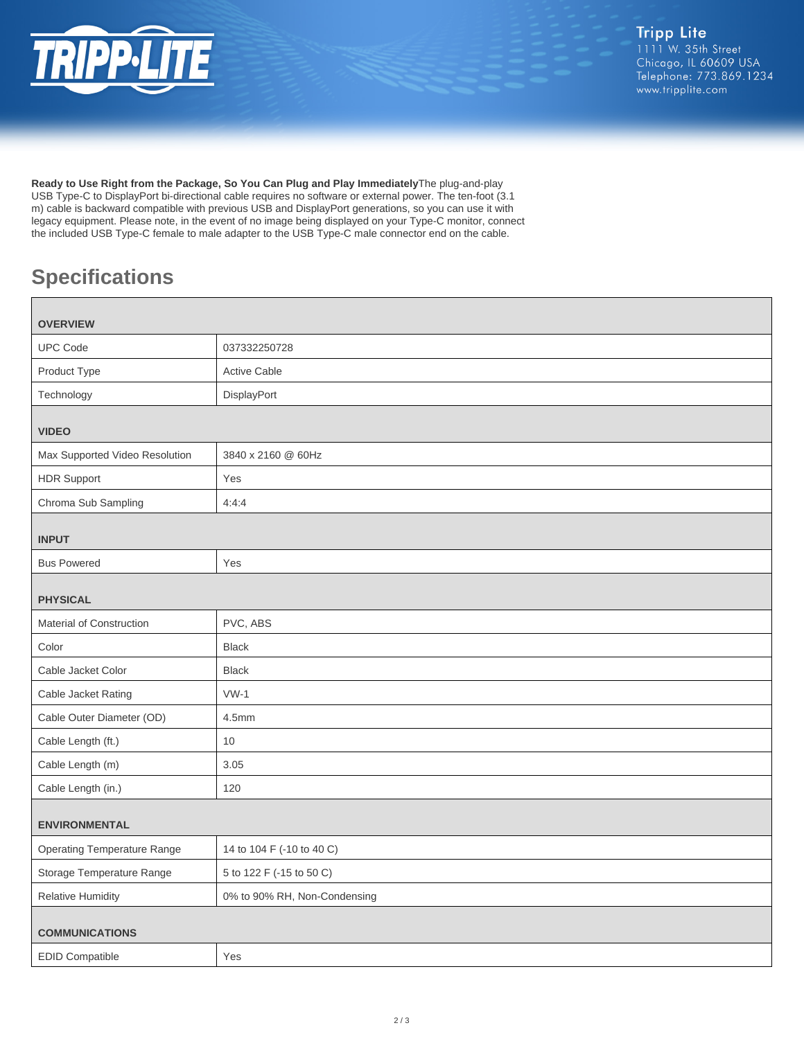

**Ready to Use Right from the Package, So You Can Plug and Play Immediately**The plug-and-play USB Type-C to DisplayPort bi-directional cable requires no software or external power. The ten-foot (3.1 m) cable is backward compatible with previous USB and DisplayPort generations, so you can use it with legacy equipment. Please note, in the event of no image being displayed on your Type-C monitor, connect the included USB Type-C female to male adapter to the USB Type-C male connector end on the cable.

# **Specifications**

| <b>OVERVIEW</b>                    |                              |  |
|------------------------------------|------------------------------|--|
| <b>UPC Code</b>                    | 037332250728                 |  |
| Product Type                       | <b>Active Cable</b>          |  |
| Technology                         | DisplayPort                  |  |
| <b>VIDEO</b>                       |                              |  |
| Max Supported Video Resolution     | 3840 x 2160 @ 60Hz           |  |
| <b>HDR Support</b>                 | Yes                          |  |
| Chroma Sub Sampling                | 4:4:4                        |  |
| <b>INPUT</b>                       |                              |  |
| <b>Bus Powered</b>                 | Yes                          |  |
|                                    |                              |  |
| <b>PHYSICAL</b>                    |                              |  |
| Material of Construction           | PVC, ABS                     |  |
| Color                              | <b>Black</b>                 |  |
| Cable Jacket Color                 | <b>Black</b>                 |  |
| Cable Jacket Rating                | $VW-1$                       |  |
| Cable Outer Diameter (OD)          | 4.5mm                        |  |
| Cable Length (ft.)                 | 10                           |  |
| Cable Length (m)                   | 3.05                         |  |
| Cable Length (in.)                 | 120                          |  |
| <b>ENVIRONMENTAL</b>               |                              |  |
| <b>Operating Temperature Range</b> | 14 to 104 F (-10 to 40 C)    |  |
| Storage Temperature Range          | 5 to 122 F (-15 to 50 C)     |  |
| <b>Relative Humidity</b>           | 0% to 90% RH, Non-Condensing |  |
|                                    |                              |  |
| <b>COMMUNICATIONS</b>              |                              |  |
| <b>EDID Compatible</b>             | Yes                          |  |